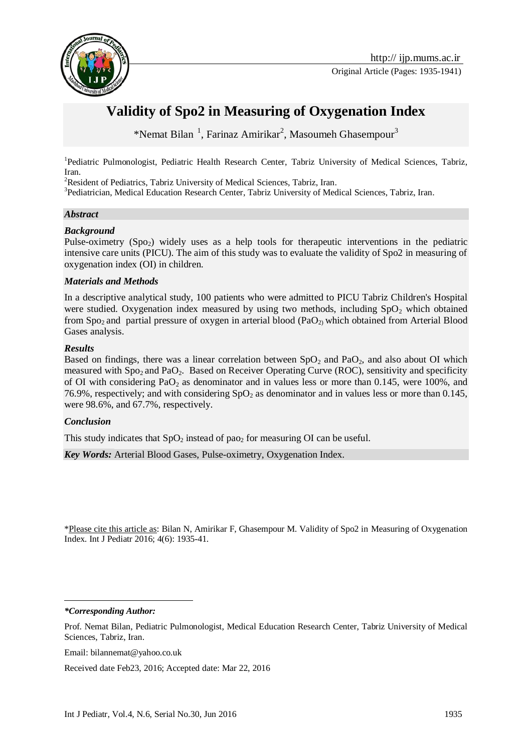

Original Article (Pages: 1935-1941)

# **Validity of Spo2 in Measuring of Oxygenation Index**

\*Nemat Bilan<sup>1</sup>, Farinaz Amirikar<sup>2</sup>, Masoumeh Ghasempour<sup>3</sup>

<sup>1</sup>Pediatric Pulmonologist, Pediatric Health Research Center, Tabriz University of Medical Sciences, Tabriz, Iran.

<sup>2</sup>Resident of Pediatrics, Tabriz University of Medical Sciences, Tabriz, Iran.

<sup>3</sup>Pediatrician, Medical Education Research Center, Tabriz University of Medical Sciences, Tabriz, Iran.

#### *Abstract*

#### *Background*

Pulse-oximetry  $(Spo<sub>2</sub>)$  widely uses as a help tools for therapeutic interventions in the pediatric intensive care units (PICU). The aim of this study was to evaluate the validity of Spo2 in measuring of oxygenation index (OI) in children.

#### *Materials and Methods*

In a descriptive analytical study, 100 patients who were admitted to PICU Tabriz Children's Hospital were studied. Oxygenation index measured by using two methods, including  $SpO<sub>2</sub>$  which obtained from Spo<sub>2</sub> and partial pressure of oxygen in arterial blood (PaO<sub>2)</sub> which obtained from Arterial Blood Gases analysis.

#### *Results*

Based on findings, there was a linear correlation between  $SpO<sub>2</sub>$  and PaO<sub>2</sub>, and also about OI which measured with  $Sp_{2}$  and  $PaO_{2}$ . Based on Receiver Operating Curve (ROC), sensitivity and specificity of OI with considering  $PaO<sub>2</sub>$  as denominator and in values less or more than 0.145, were 100%, and 76.9%, respectively; and with considering  $SpO<sub>2</sub>$  as denominator and in values less or more than 0.145, were 98.6%, and 67.7%, respectively.

#### *Conclusion*

This study indicates that  $SpO<sub>2</sub>$  instead of pao<sub>2</sub> for measuring OI can be useful.

*Key Words:* Arterial Blood Gases, Pulse-oximetry, Oxygenation Index.

\*Please cite this article as: Bilan N, Amirikar F, Ghasempour M. Validity of Spo2 in Measuring of Oxygenation Index. Int J Pediatr 2016; 4(6): 1935-41.

*\*Corresponding Author:*

<u>.</u>

Email: bilannemat@yahoo.co.uk

Received date Feb23, 2016; Accepted date: Mar 22, 2016

Prof. Nemat Bilan, Pediatric Pulmonologist, Medical Education Research Center, Tabriz University of Medical Sciences, Tabriz, Iran.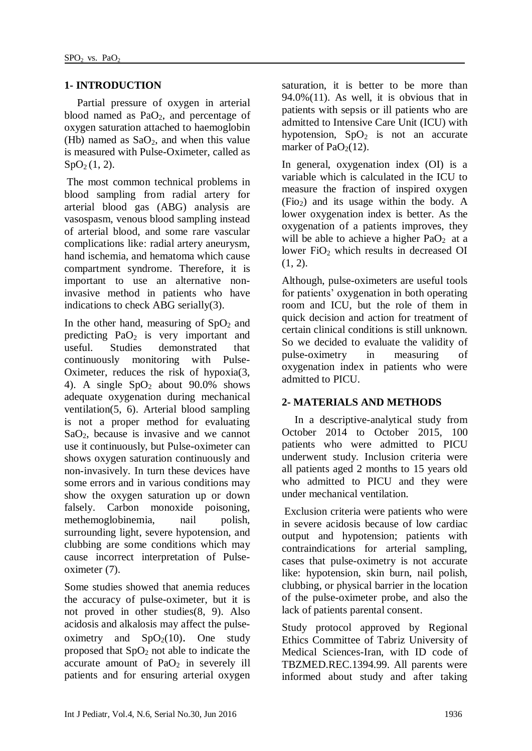## **1- INTRODUCTION**

Partial pressure of oxygen in arterial blood named as  $PaO<sub>2</sub>$ , and percentage of oxygen saturation attached to haemoglobin (Hb) named as  $SaO<sub>2</sub>$ , and when this value is measured with Pulse-Oximeter, called as  $SpO<sub>2</sub>(1, 2)$  $SpO<sub>2</sub>(1, 2)$  $SpO<sub>2</sub>(1, 2)$ .

The most common technical problems in blood sampling from radial artery for arterial blood gas (ABG) analysis are vasospasm, venous blood sampling instead of arterial blood, and some rare vascular complications like: radial artery aneurysm, hand ischemia, and hematoma which cause compartment syndrome. Therefore, it is important to use an alternative noninvasive method in patients who have indications to check ABG serially[\(3\)](#page-5-2).

In the other hand, measuring of  $SpO<sub>2</sub>$  and predicting  $PaO<sub>2</sub>$  is very important and useful. Studies demonstrated that continuously monitoring with Pulse-Oximeter, reduces the risk of hypoxia[\(3,](#page-5-2) [4\)](#page-5-3). A single  $SpO<sub>2</sub>$  about 90.0% shows adequate oxygenation during mechanical ventilation[\(5,](#page-5-4) [6\)](#page-5-5). Arterial blood sampling is not a proper method for evaluating  $SaO<sub>2</sub>$ , because is invasive and we cannot use it continuously, but Pulse-oximeter can shows oxygen saturation continuously and non-invasively. In turn these devices have some errors and in various conditions may show the oxygen saturation up or down falsely. Carbon monoxide poisoning, methemoglobinemia, nail polish, surrounding light, severe hypotension, and clubbing are some conditions which may cause incorrect interpretation of Pulseoximeter [\(7\)](#page-5-6).

Some studies showed that anemia reduces the accuracy of pulse-oximeter, but it is not proved in other studies[\(8,](#page-6-0) [9\)](#page-6-1). Also acidosis and alkalosis may affect the pulseoximetry and  $SpO<sub>2</sub>(10)$  $SpO<sub>2</sub>(10)$ . One study proposed that  $SpO<sub>2</sub>$  not able to indicate the  $\bar{a}$  accurate amount of PaO<sub>2</sub> in severely ill patients and for ensuring arterial oxygen saturation, it is better to be more than  $94.0\%$ [\(11\)](#page-6-3). As well, it is obvious that in patients with sepsis or ill patients who are admitted to Intensive Care Unit (ICU) with hypotension,  $SpO<sub>2</sub>$  is not an accurate marker of  $PaO<sub>2</sub>(12)$  $PaO<sub>2</sub>(12)$ .

In general, oxygenation index (OI) is a variable which is calculated in the ICU to measure the fraction of inspired oxygen  $(Fio<sub>2</sub>)$  and its usage within the body. A lower oxygenation index is better. As the oxygenation of a patients improves, they will be able to achieve a higher  $PaO<sub>2</sub>$  at a lower FiO<sub>2</sub> which results in decreased OI  $(1, 2)$  $(1, 2)$ .

Although, pulse-oximeters are useful tools for patients' oxygenation in both operating room and ICU, but the role of them in quick decision and action for treatment of certain clinical conditions is still unknown. So we decided to evaluate the validity of pulse-oximetry in measuring of oxygenation index in patients who were admitted to PICU.

## **2- MATERIALS AND METHODS**

In a descriptive-analytical study from October 2014 to October 2015, 100 patients who were admitted to PICU underwent study. Inclusion criteria were all patients aged 2 months to 15 years old who admitted to PICU and they were under mechanical ventilation.

Exclusion criteria were patients who were in severe acidosis because of low cardiac output and hypotension; patients with contraindications for arterial sampling, cases that pulse-oximetry is not accurate like: hypotension, skin burn, nail polish, clubbing, or physical barrier in the location of the pulse-oximeter probe, and also the lack of patients parental consent.

Study protocol approved by Regional Ethics Committee of Tabriz University of Medical Sciences-Iran, with ID code of TBZMED.REC.1394.99. All parents were informed about study and after taking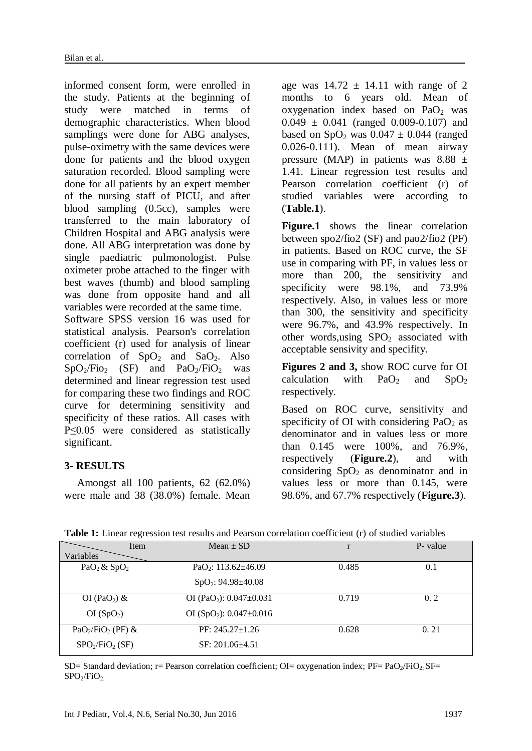informed consent form, were enrolled in the study. Patients at the beginning of study were matched in terms of demographic characteristics. When blood samplings were done for ABG analyses, pulse-oximetry with the same devices were done for patients and the blood oxygen saturation recorded. Blood sampling were done for all patients by an expert member of the nursing staff of PICU, and after blood sampling (0.5cc), samples were transferred to the main laboratory of Children Hospital and ABG analysis were done. All ABG interpretation was done by single paediatric pulmonologist. Pulse oximeter probe attached to the finger with best waves (thumb) and blood sampling was done from opposite hand and all variables were recorded at the same time.

Software SPSS version 16 was used for statistical analysis. Pearson's correlation coefficient (r) used for analysis of linear correlation of  $SpO<sub>2</sub>$  and  $SaO<sub>2</sub>$ . Also  $SpO<sub>2</sub>/FiO<sub>2</sub>$  (SF) and PaO<sub>2</sub>/FiO<sub>2</sub> was determined and linear regression test used for comparing these two findings and ROC curve for determining sensitivity and specificity of these ratios. All cases with P≤0.05 were considered as statistically significant.

## **3- RESULTS**

Amongst all 100 patients, 62 (62.0%) were male and 38 (38.0%) female. Mean

age was  $14.72 \pm 14.11$  with range of 2 months to 6 years old. Mean of oxygenation index based on  $PaO<sub>2</sub>$  was  $0.049 \pm 0.041$  (ranged 0.009-0.107) and based on SpO<sub>2</sub> was  $0.047 \pm 0.044$  (ranged 0.026-0.111). Mean of mean airway pressure (MAP) in patients was  $8.88 \pm$ 1.41. Linear regression test results and Pearson correlation coefficient (r) of studied variables were according to (**Table.1**).

**Figure.1** shows the linear correlation between spo2/fio2 (SF) and pao2/fio2 (PF) in patients. Based on ROC curve, the SF use in comparing with PF, in values less or more than 200, the sensitivity and specificity were 98.1%, and 73.9% respectively. Also, in values less or more than 300, the sensitivity and specificity were 96.7%, and 43.9% respectively. In other words, using  $SPO<sub>2</sub>$  associated with acceptable sensivity and specifity.

**Figures 2 and 3,** show ROC curve for OI calculation with  $PaO<sub>2</sub>$  and  $SpO<sub>2</sub>$ respectively.

Based on ROC curve, sensitivity and specificity of OI with considering  $PaO<sub>2</sub>$  as denominator and in values less or more than 0.145 were 100%, and 76.9%, respectively (**Figure.2**), and with considering  $SpO<sub>2</sub>$  as denominator and in values less or more than 0.145, were 98.6%, and 67.7% respectively (**Figure.3**).

|                                         | Item | $Mean \pm SD$                             | r     | P- value |
|-----------------------------------------|------|-------------------------------------------|-------|----------|
| Variables                               |      |                                           |       |          |
| $PaO2 \& SpO2$                          |      | PaO <sub>2</sub> : $113.62 \pm 46.09$     | 0.485 | 0.1      |
|                                         |      | $SpO2: 94.98 \pm 40.08$                   |       |          |
| OI (PaO <sub>2</sub> ) &                |      | OI (PaO <sub>2</sub> ): $0.047 \pm 0.031$ | 0.719 | 0.2      |
| OI(SpO <sub>2</sub> )                   |      | OI (SpO <sub>2</sub> ): $0.047 \pm 0.016$ |       |          |
| $PaO2/FiO2$ (PF) &                      |      | $PF: 245.27 \pm 1.26$                     | 0.628 | 0.21     |
| SPO <sub>2</sub> /FiO <sub>2</sub> (SF) |      | $SF: 201.06 + 4.51$                       |       |          |

**Table 1:** Linear regression test results and Pearson correlation coefficient (r) of studied variables

 $SD=$  Standard deviation; r= Pearson correlation coefficient; OI= oxygenation index; PF= PaO<sub>2</sub>/FiO<sub>2</sub>. SF=  $SPO<sub>2</sub>/FiO<sub>2</sub>$ .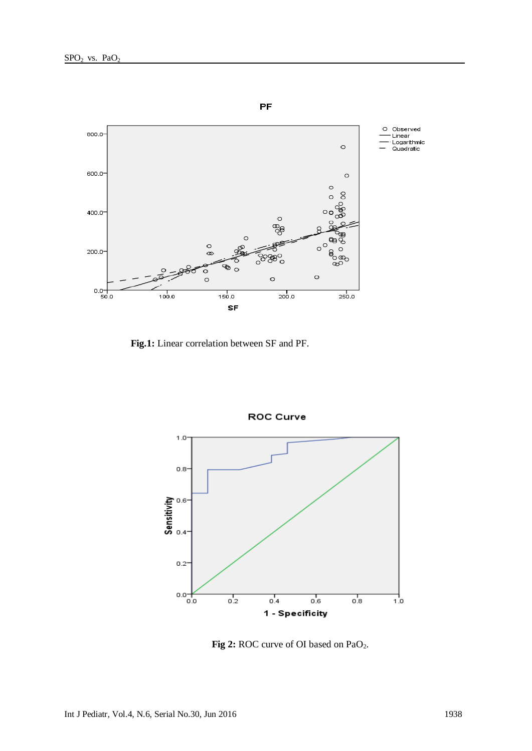

 **Fig.1:** Linear correlation between SF and PF.



ROC Curve

Fig 2: ROC curve of OI based on PaO<sub>2</sub>.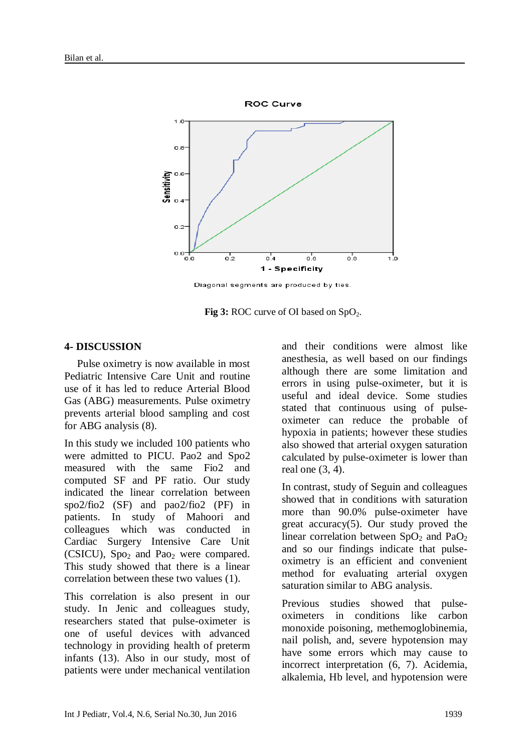

Diagonal segments are produced by ties.

**Fig 3:** ROC curve of OI based on SpO<sub>2</sub>.

#### **4- DISCUSSION**

Pulse oximetry is now available in most Pediatric Intensive Care Unit and routine use of it has led to reduce Arterial Blood Gas (ABG) measurements. Pulse oximetry prevents arterial blood sampling and cost for ABG analysis (8).

In this study we included 100 patients who were admitted to PICU. Pao2 and Spo2 measured with the same Fio2 and computed SF and PF ratio. Our study indicated the linear correlation between spo2/fio2 (SF) and pao2/fio2 (PF) in patients. In study of Mahoori and colleagues which was conducted in Cardiac Surgery Intensive Care Unit (CSICU),  $Spo<sub>2</sub>$  and Pao<sub>2</sub> were compared. This study showed that there is a linear correlation between these two values [\(1\)](#page-5-0).

This correlation is also present in our study. In Jenic and colleagues study, researchers stated that pulse-oximeter is one of useful devices with advanced technology in providing health of preterm infants [\(13\)](#page-6-5). Also in our study, most of patients were under mechanical ventilation and their conditions were almost like anesthesia, as well based on our findings although there are some limitation and errors in using pulse-oximeter, but it is useful and ideal device. Some studies stated that continuous using of pulseoximeter can reduce the probable of hypoxia in patients; however these studies also showed that arterial oxygen saturation calculated by pulse-oximeter is lower than real one [\(3,](#page-5-2) [4\)](#page-5-3).

In contrast, study of Seguin and colleagues showed that in conditions with saturation more than 90.0% pulse-oximeter have great accuracy[\(5\)](#page-5-4). Our study proved the linear correlation between  $SpO<sub>2</sub>$  and  $PaO<sub>2</sub>$ and so our findings indicate that pulseoximetry is an efficient and convenient method for evaluating arterial oxygen saturation similar to ABG analysis.

Previous studies showed that pulseoximeters in conditions like carbon monoxide poisoning, methemoglobinemia, nail polish, and, severe hypotension may have some errors which may cause to incorrect interpretation [\(6,](#page-5-5) [7\)](#page-5-6). Acidemia, alkalemia, Hb level, and hypotension were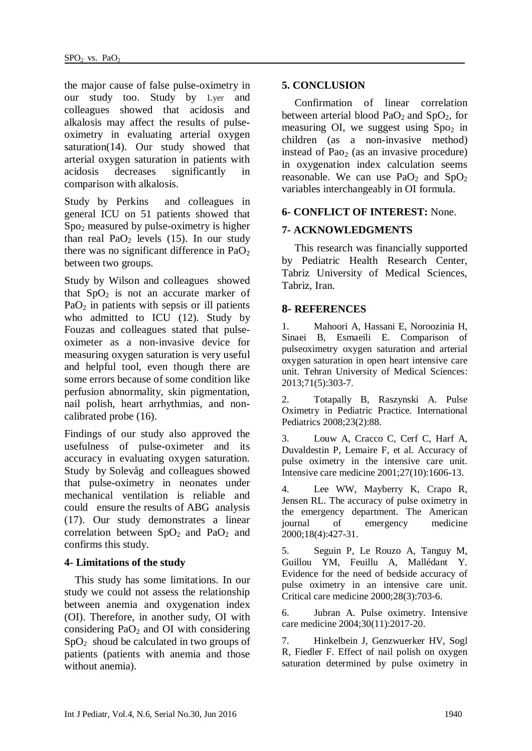the major cause of false pulse-oximetry in our study too. Study by Lyer and colleagues showed that acidosis and alkalosis may affect the results of pulseoximetry in evaluating arterial oxygen saturation[\(14\)](#page-6-6). Our study showed that arterial oxygen saturation in patients with acidosis decreases significantly in comparison with alkalosis.

Study by Perkins and colleagues in general ICU on 51 patients showed that Spo<sup>2</sup> measured by pulse-oximetry is higher than real  $PaO<sub>2</sub>$  levels [\(15\)](#page-6-7). In our study there was no significant difference in  $PaO<sub>2</sub>$ between two groups.

Study by Wilson and colleagues showed that  $SpO<sub>2</sub>$  is not an accurate marker of  $PaO<sub>2</sub>$  in patients with sepsis or ill patients who admitted to ICU [\(12\)](#page-6-4). Study by Fouzas and colleagues stated that pulseoximeter as a non-invasive device for measuring oxygen saturation is very useful and helpful tool, even though there are some errors because of some condition like perfusion abnormality, skin pigmentation, nail polish, heart arrhythmias, and noncalibrated probe [\(16\)](#page-6-8).

Findings of our study also approved the usefulness of pulse-oximeter and its accuracy in evaluating oxygen saturation. Study by Solevåg and colleagues showed that pulse-oximetry in neonates under mechanical ventilation is reliable and could ensure the results of ABG analysis [\(17\)](#page-6-9). Our study demonstrates a linear correlation between  $SpO<sub>2</sub>$  and  $PaO<sub>2</sub>$  and confirms this study.

## **4- Limitations of the study**

 This study has some limitations. In our study we could not assess the relationship between anemia and oxygenation index (OI). Therefore, in another sudy, OI with considering  $PaO<sub>2</sub>$  and OI with considering  $SpO<sub>2</sub>$  shoud be calculated in two groups of patients (patients with anemia and those without anemia).

## **5. CONCLUSION**

Confirmation of linear correlation between arterial blood  $PaO<sub>2</sub>$  and  $SpO<sub>2</sub>$ , for measuring OI, we suggest using  $Spo<sub>2</sub>$  in children (as a non-invasive method) instead of Pao<sub>2</sub> (as an invasive procedure) in oxygenation index calculation seems reasonable. We can use  $PaO<sub>2</sub>$  and  $SpO<sub>2</sub>$ variables interchangeably in OI formula.

## **6- CONFLICT OF INTEREST:** None.

## **7- ACKNOWLEDGMENTS**

This research was financially supported by Pediatric Health Research Center, Tabriz University of Medical Sciences, Tabriz, Iran.

## **8- REFERENCES**

<span id="page-5-0"></span>1. Mahoori A, Hassani E, Noroozinia H, Sinaei B, Esmaeili E. Comparison of pulseoximetry oxygen saturation and arterial oxygen saturation in open heart intensive care unit. Tehran University of Medical Sciences: 2013;71(5):303-7.

<span id="page-5-1"></span>2. Totapally B, Raszynski A. Pulse Oximetry in Pediatric Practice. International Pediatrics 2008;23(2):88.

<span id="page-5-2"></span>3. Louw A, Cracco C, Cerf C, Harf A, Duvaldestin P, Lemaire F, et al. Accuracy of pulse oximetry in the intensive care unit. Intensive care medicine 2001;27(10):1606-13.

<span id="page-5-3"></span>4. Lee WW, Mayberry K, Crapo R, Jensen RL. The accuracy of pulse oximetry in the emergency department. The American journal of emergency medicine 2000;18(4):427-31.

<span id="page-5-4"></span>5. Seguin P, Le Rouzo A, Tanguy M, Guillou YM, Feuillu A, Mallédant Y. Evidence for the need of bedside accuracy of pulse oximetry in an intensive care unit. Critical care medicine 2000;28(3):703-6.

<span id="page-5-5"></span>6. Jubran A. Pulse oximetry. Intensive care medicine 2004;30(11):2017-20.

<span id="page-5-6"></span>7. Hinkelbein J, Genzwuerker HV, Sogl R, Fiedler F. Effect of nail polish on oxygen saturation determined by pulse oximetry in